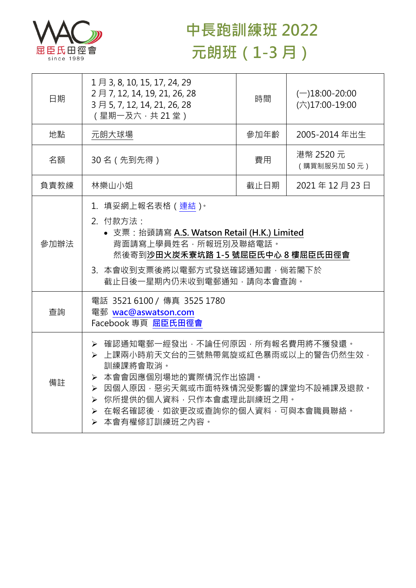

## **中長跑訓練班 2022 元朗班(1-3 月)**

| 日期   | 1月 3, 8, 10, 15, 17, 24, 29<br>2月7, 12, 14, 19, 21, 26, 28<br>3月5, 7, 12, 14, 21, 26, 28<br>(星期一及六,共21堂)                                                                                                                              | 時間   | $(-)18:00 - 20:00$<br>$(\overline{\wedge})17:00-19:00$ |  |
|------|---------------------------------------------------------------------------------------------------------------------------------------------------------------------------------------------------------------------------------------|------|--------------------------------------------------------|--|
| 地點   | 元朗大球場                                                                                                                                                                                                                                 | 參加年齡 | 2005-2014 年出生                                          |  |
| 名額   | 30名 (先到先得)                                                                                                                                                                                                                            | 費用   | 港幣 2520 元<br>(購買制服另加50元)                               |  |
| 負責教練 | 林樂山小姐                                                                                                                                                                                                                                 | 截止日期 | 2021年12月23日                                            |  |
| 參加辦法 | 1. 填妥網上報名表格 ( 連結 ) ·<br>2. 付款方法:<br>• 支票: 抬頭請寫 A.S. Watson Retail (H.K.) Limited<br>背面請寫上學員姓名,所報班別及聯絡電話。<br>然後寄到沙田火炭禾寮坑路 1-5 號屈臣氏中心 8 樓屈臣氏田徑會<br>3. 本會收到支票後將以電郵方式發送確認通知書,倘若閣下於<br>截止日後一星期內仍未收到電郵通知,請向本會查詢。                            |      |                                                        |  |
| 查詢   | 電話 3521 6100 / 傳真 3525 1780<br>電郵 wac@aswatson.com<br>Facebook 專頁 屈臣氏田徑會                                                                                                                                                              |      |                                                        |  |
| 備註   | ▶ 確認通知電郵一經發出,不論任何原因,所有報名費用將不獲發還。<br>> 上課兩小時前天文台的三號熱帶氣旋或紅色暴雨或以上的警告仍然生效,<br>訓練課將會取消。<br>> 本會會因應個別場地的實際情況作出協調。<br>▶ 因個人原因,惡劣天氣或市面特殊情況受影響的課堂均不設補課及退款。<br>▶ 你所提供的個人資料,只作本會處理此訓練班之用。<br>▶ 在報名確認後,如欲更改或查詢你的個人資料,可與本會職員聯絡。<br>> 本會有權修訂訓練班之內容。 |      |                                                        |  |